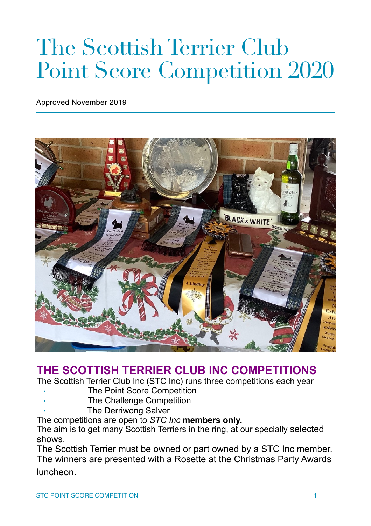# The Scottish Terrier Club Point Score Competition 2020

Approved November 2019



## **THE SCOTTISH TERRIER CLUB INC COMPETITIONS**

The Scottish Terrier Club Inc (STC Inc) runs three competitions each year

- **The Point Score Competition**
- The Challenge Competition
- The Derriwong Salver

The competitions are open to *STC Inc* **members only.**

The aim is to get many Scottish Terriers in the ring, at our specially selected shows.

The Scottish Terrier must be owned or part owned by a STC Inc member. The winners are presented with a Rosette at the Christmas Party Awards luncheon.

STC POINT SCORE COMPETITION **1**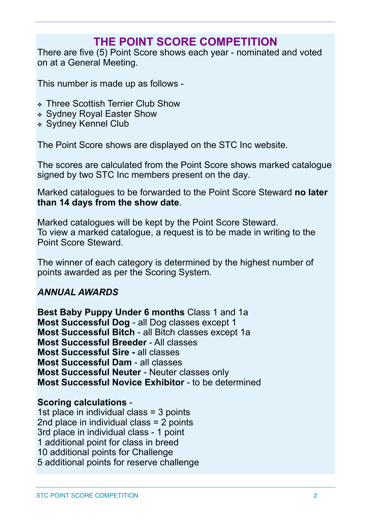# **THE POINT SCORE COMPETITION**

There are five (5) Point Score shows each year - nominated and voted on at a General Meeting.

This number is made up as follows -

- ❖ Three Scottish Terrier Club Show
- ❖ Sydney Royal Easter Show
- ❖ Sydney Kennel Club

The Point Score shows are displayed on the STC Inc website.

The scores are calculated from the Point Score shows marked catalogue signed by two STC Inc members present on the day.

Marked catalogues to be forwarded to the Point Score Steward **no later than 14 days from the show date**.

Marked catalogues will be kept by the Point Score Steward. To view a marked catalogue, a request is to be made in writing to the Point Score Steward.

The winner of each category is determined by the highest number of points awarded as per the Scoring System.

#### *ANNUAL AWARDS*

**Best Baby Puppy Under 6 months** Class 1 and 1a **Most Successful Dog** - all Dog classes except 1 **Most Successful Bitch** - all Bitch classes except 1a **Most Successful Breeder** - All classes **Most Successful Sire -** all classes **Most Successful Dam** - all classes **Most Successful Neuter** - Neuter classes only **Most Successful Novice Exhibitor** - to be determined

#### **Scoring calculations** -

1st place in individual class = 3 points 2nd place in individual class = 2 points 3rd place in individual class - 1 point 1 additional point for class in breed 10 additional points for Challenge 5 additional points for reserve challenge